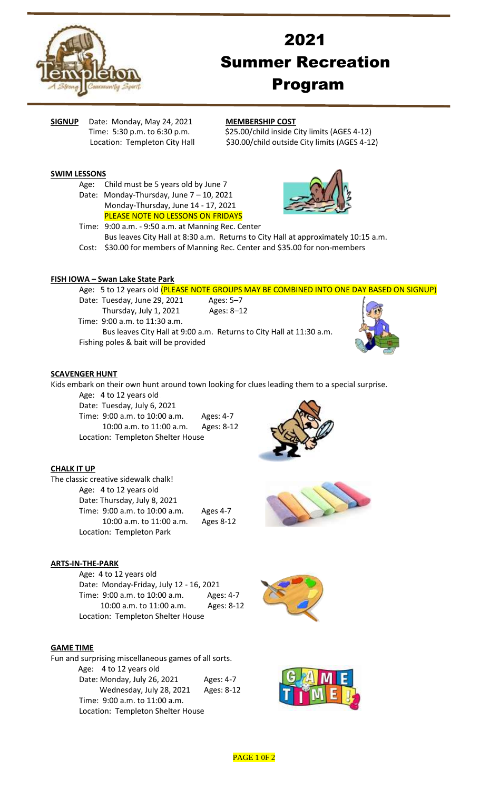

# 2021 Summer Recreation Program

**SIGNUP** Date: Monday, May 24, 2021 **MEMBERSHIP COST**

Time: 5:30 p.m. to 6:30 p.m.  $$25.00/child inside City limits (AGES 4-12)$ Location: Templeton City Hall \$30.00/child outside City limits (AGES 4-12)

## **SWIM LESSONS**

- Age: Child must be 5 years old by June 7
- Date: Monday-Thursday, June 7 10, 2021 Monday-Thursday, June 14 - 17, 2021 PLEASE NOTE NO LESSONS ON FRIDAYS



Time: 9:00 a.m. - 9:50 a.m. at Manning Rec. Center Bus leaves City Hall at 8:30 a.m. Returns to City Hall at approximately 10:15 a.m. Cost: \$30.00 for members of Manning Rec. Center and \$35.00 for non-members

## **FISH IOWA – Swan Lake State Park**

Age: 5 to 12 years old (PLEASE NOTE GROUPS MAY BE COMBINED INTO ONE DAY BASED ON SIGNUP)

- Date: Tuesday, June 29, 2021 Ages: 5-7 Thursday, July 1, 2021 Ages: 8–12
	-
- Time: 9:00 a.m. to 11:30 a.m.
- Bus leaves City Hall at 9:00 a.m. Returns to City Hall at 11:30 a.m. Fishing poles & bait will be provided



#### **SCAVENGER HUNT**

Kids embark on their own hunt around town looking for clues leading them to a special surprise.

Age: 4 to 12 years old

Date: Tuesday, July 6, 2021 Time: 9:00 a.m. to 10:00 a.m. Ages: 4-7 10:00 a.m. to 11:00 a.m. Ages: 8-12 Location: Templeton Shelter House





| The classic creative sidewalk chalk! |           |
|--------------------------------------|-----------|
| Age: 4 to 12 years old               |           |
| Date: Thursday, July 8, 2021         |           |
| Time: 9:00 a.m. to 10:00 a.m.        | Ages 4-7  |
| 10:00 a.m. to 11:00 a.m.             | Ages 8-12 |
| Location: Templeton Park             |           |

# **ARTS-IN-THE-PARK**

Age: 4 to 12 years old Date: Monday-Friday, July 12 - 16, 2021 Time: 9:00 a.m. to 10:00 a.m. Ages: 4-7 10:00 a.m. to 11:00 a.m. Ages: 8-12 Location: Templeton Shelter House



# **GAME TIME**

Fun and surprising miscellaneous games of all sorts. Age: 4 to 12 years old Date: Monday, July 26, 2021 Ages: 4-7 Wednesday, July 28, 2021 Ages: 8-12 Time: 9:00 a.m. to 11:00 a.m. Location: Templeton Shelter House